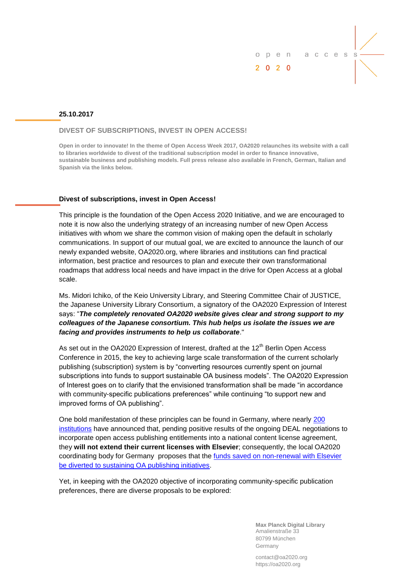

## **25.10.2017**

## **DIVEST OF SUBSCRIPTIONS, INVEST IN OPEN ACCESS!**

**Open in order to innovate! In the theme of Open Access Week 2017, OA2020 relaunches its website with a call to libraries worldwide to divest of the traditional subscription model in order to finance innovative, sustainable business and publishing models. Full press release also available in French, German, Italian and Spanish via the links below.** 

## **Divest of subscriptions, invest in Open Access!**

This principle is the foundation of the Open Access 2020 Initiative, and we are encouraged to note it is now also the underlying strategy of an increasing number of new Open Access initiatives with whom we share the common vision of making open the default in scholarly communications. In support of our mutual goal, we are excited to announce the launch of our newly expanded website, OA2020.org, where libraries and institutions can find practical information, best practice and resources to plan and execute their own transformational roadmaps that address local needs and have impact in the drive for Open Access at a global scale.

Ms. Midori Ichiko, of the Keio University Library, and Steering Committee Chair of JUSTICE, the Japanese University Library Consortium, a signatory of the OA2020 Expression of Interest says: "*The completely renovated OA2020 website gives clear and strong support to my colleagues of the Japanese consortium. This hub helps us isolate the issues we are facing and provides instruments to help us collaborate*."

As set out in the OA2020 Expression of Interest, drafted at the  $12<sup>th</sup>$  Berlin Open Access Conference in 2015, the key to achieving large scale transformation of the current scholarly publishing (subscription) system is by "converting resources currently spent on journal subscriptions into funds to support sustainable OA business models". The OA2020 Expression of Interest goes on to clarify that the envisioned transformation shall be made "in accordance with community-specific publications preferences" while continuing "to support new and improved forms of OA publishing".

One bold manifestation of these principles can be found in Germany, where nearly 200 [institutions](https://www.projekt-deal.de/vertragskundigungen-elsevier-2017/) have announced that, pending positive results of the ongoing DEAL negotiations to incorporate open access publishing entitlements into a national content license agreement, they **will not extend their current licenses with Elsevier**; consequently, the local OA2020 coordinating body for Germany proposes that the funds saved on non-renewal with Elsevier [be diverted to sustaining OA publishing initiatives.](http://oa2020-de.org/)

Yet, in keeping with the OA2020 objective of incorporating community-specific publication preferences, there are diverse proposals to be explored:

> **Max Planck Digital Library** Amalienstraße 33 80799 München Germany

[contact@oa2020.org](mailto:contact@oa2020.org) [https://oa2020.org](https://oa2020.org/)